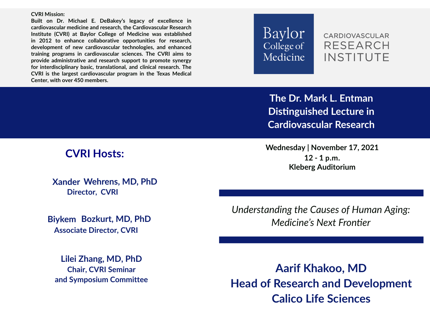**CVRI Mission:**

**Built on Dr. Michael E. DeBakey's legacy of excellence in cardiovascular medicine and research, the Cardiovascular Research Institute (CVRI) at Baylor College of Medicine was established in 2012 to enhance collaborative opportunities for research, development of new cardiovascular technologies, and enhanced training programs in cardiovascular sciences. The CVRI aims to provide administrative and research support to promote synergy for interdisciplinary basic, translational, and clinical research. The CVRI is the largest cardiovascular program in the Texas Medical Center, with over 450 members.**



**CARDIOVASCULAR** RESEARCH **INSTITUTE** 

The Dr. Mark L. Entman **Distinguished Lecture in Cardiovascular Research**

**Xander MD, PhD Wehrens, CVRI Director,**

**Biykem Bozkurt, MD, PhD Associate Director, CVRI**

**Lilei Zhang, MD, PhD Chair, CVRI Seminar and Symposium Committee**

**CVRI Hosts: Wednesday | November 17, 2021 12 - 1 p.m. Kleberg Auditorium** 

> *Understanding the Causes of Human Aging: Medicine's Next Fronter*

**Aarif Khakoo, MD Head of Research and Development Calico Life Sciences**